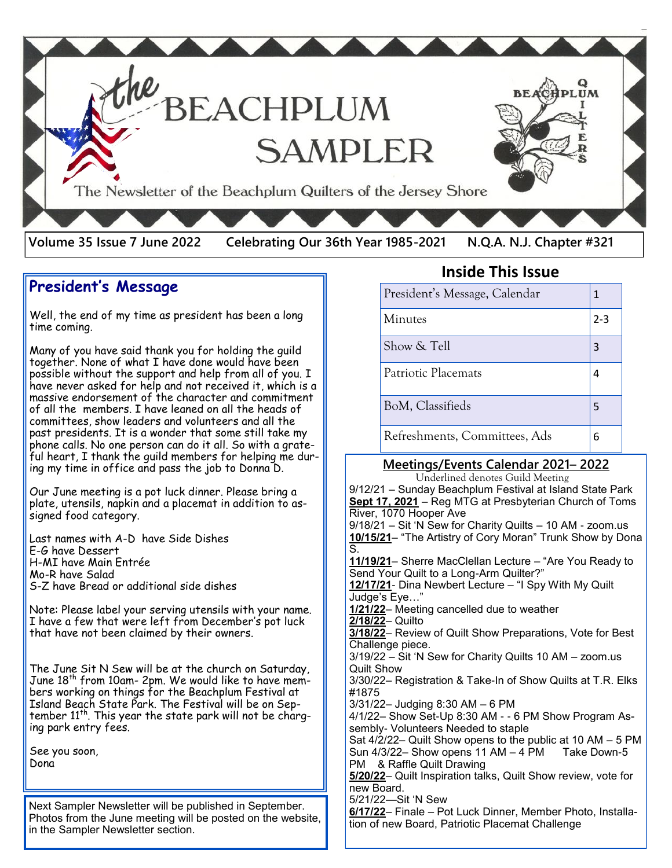

## **President's Message**

Well, the end of my time as president has been a long time coming.

Many of you have said thank you for holding the guild together. None of what I have done would have been possible without the support and help from all of you. I have never asked for help and not received it, which is a massive endorsement of the character and commitment of all the members. I have leaned on all the heads of committees, show leaders and volunteers and all the past presidents. It is a wonder that some still take my phone calls. No one person can do it all. So with a grateful heart, I thank the guild members for helping me during my time in office and pass the job to Donna D.

Our June meeting is a pot luck dinner. Please bring a plate, utensils, napkin and a placemat in addition to assigned food category.

Last names with A-D have Side Dishes E-G have Dessert H-MI have Main Entrée Mo-R have Salad S-Z have Bread or additional side dishes

Note: Please label your serving utensils with your name. I have a few that were left from December's pot luck that have not been claimed by their owners.

The June Sit N Sew will be at the church on Saturday, June 18<sup>th</sup> from 10am- 2pm. We would like to have members working on things for the Beachplum Festival at Island Beach State Park. The Festival will be on September  $11<sup>th</sup>$ . This year the state park will not be charging park entry fees.

See you soon, Dona

Next Sampler Newsletter will be published in September. Photos from the June meeting will be posted on the website, in the Sampler Newsletter section.

#### **Inside This Issue**

| President's Message, Calendar | 1       |
|-------------------------------|---------|
| Minutes                       | $2 - 3$ |
| Show & Tell                   | 3       |
| Patriotic Placemats           |         |
| BoM, Classifieds              | 5       |
| Refreshments, Committees, Ads | 6       |

#### **Meetings/Events Calendar 2021– 2022**

 Underlined denotes Guild Meeting 9/12/21 – Sunday Beachplum Festival at Island State Park **Sept 17, 2021** – Reg MTG at Presbyterian Church of Toms River, 1070 Hooper Ave 9/18/21 – Sit 'N Sew for Charity Quilts – 10 AM - zoom.us **10/15/21**– "The Artistry of Cory Moran" Trunk Show by Dona S. **11/19/21**– Sherre MacClellan Lecture – "Are You Ready to Send Your Quilt to a Long-Arm Quilter?" **12/17/21**- Dina Newbert Lecture – "I Spy With My Quilt Judge's Eye…" **1/21/22**– Meeting cancelled due to weather **2/18/22**– Quilto **3/18/22**– Review of Quilt Show Preparations, Vote for Best Challenge piece. 3/19/22 – Sit 'N Sew for Charity Quilts 10 AM – zoom.us Quilt Show 3/30/22– Registration & Take-In of Show Quilts at T.R. Elks #1875 3/31/22– Judging 8:30 AM – 6 PM 4/1/22– Show Set-Up 8:30 AM - - 6 PM Show Program Assembly- Volunteers Needed to staple Sat  $4/2/22$ – Quilt Show opens to the public at 10 AM – 5 PM Sun  $4/3/22$  – Show opens 11 AM – 4 PM Take Down-5 PM & Raffle Quilt Drawing **5/20/22**– Quilt Inspiration talks, Quilt Show review, vote for new Board. 5/21/22—Sit 'N Sew **6/17/22**– Finale – Pot Luck Dinner, Member Photo, Installation of new Board, Patriotic Placemat Challenge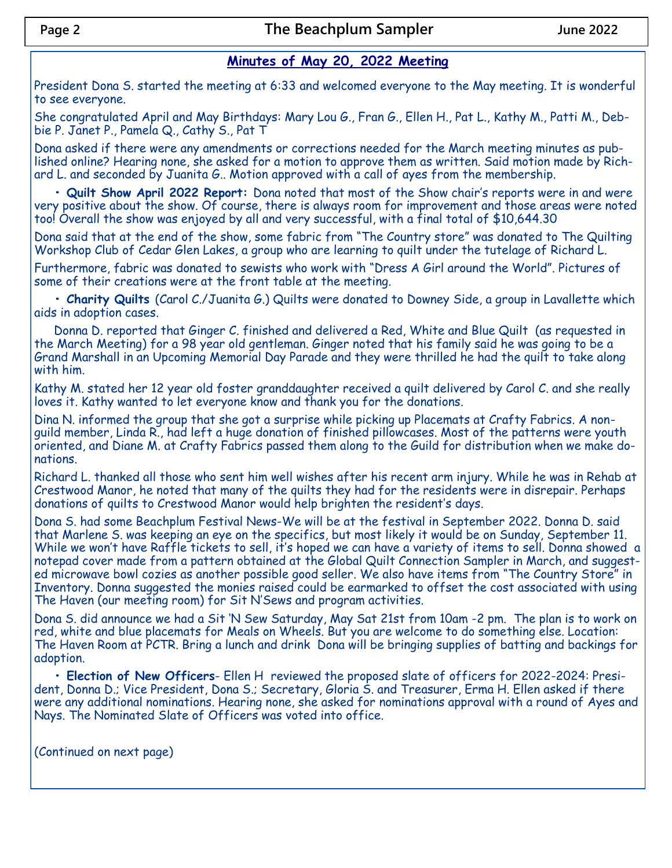## **Minutes of May 20, 2022 Meeting**

President Dona S. started the meeting at 6:33 and welcomed everyone to the May meeting. It is wonderful to see everyone.

She congratulated April and May Birthdays: Mary Lou G., Fran G., Ellen H., Pat L., Kathy M., Patti M., Debbie P. Janet P., Pamela Q., Cathy S., Pat T

Dona asked if there were any amendments or corrections needed for the March meeting minutes as published online? Hearing none, she asked for a motion to approve them as written. Said motion made by Richard L. and seconded by Juanita G.. Motion approved with a call of ayes from the membership.

**• Quilt Show April 2022 Report:** Dona noted that most of the Show chair's reports were in and were very positive about the show. Of course, there is always room for improvement and those areas were noted too! Overall the show was enjoyed by all and very successful, with a final total of \$10,644.30

Dona said that at the end of the show, some fabric from "The Country store" was donated to The Quilting Workshop Club of Cedar Glen Lakes, a group who are learning to quilt under the tutelage of Richard L.

Furthermore, fabric was donated to sewists who work with "Dress A Girl around the World". Pictures of some of their creations were at the front table at the meeting.

**• Charity Quilts** (Carol C./Juanita G.) Quilts were donated to Downey Side, a group in Lavallette which aids in adoption cases.

Donna D. reported that Ginger C. finished and delivered a Red, White and Blue Quilt (as requested in the March Meeting) for a 98 year old gentleman. Ginger noted that his family said he was going to be a Grand Marshall in an Upcoming Memorial Day Parade and they were thrilled he had the quilt to take along with him.

Kathy M. stated her 12 year old foster granddaughter received a quilt delivered by Carol C. and she really loves it. Kathy wanted to let everyone know and thank you for the donations.

Dina N. informed the group that she got a surprise while picking up Placemats at Crafty Fabrics. A nonguild member, Linda R., had left a huge donation of finished pillowcases. Most of the patterns were youth oriented, and Diane M. at Crafty Fabrics passed them along to the Guild for distribution when we make donations.

Richard L. thanked all those who sent him well wishes after his recent arm injury. While he was in Rehab at Crestwood Manor, he noted that many of the quilts they had for the residents were in disrepair. Perhaps donations of quilts to Crestwood Manor would help brighten the resident's days.

Dona S. had some Beachplum Festival News-We will be at the festival in September 2022. Donna D. said that Marlene S. was keeping an eye on the specifics, but most likely it would be on Sunday, September 11. While we won't have Raffle tickets to sell, it's hoped we can have a variety of items to sell. Donna showed a notepad cover made from a pattern obtained at the Global Quilt Connection Sampler in March, and suggested microwave bowl cozies as another possible good seller. We also have items from "The Country Store" in Inventory. Donna suggested the monies raised could be earmarked to offset the cost associated with using The Haven (our meeting room) for Sit N'Sews and program activities.

Dona S. did announce we had a Sit 'N Sew Saturday, May Sat 21st from 10am -2 pm. The plan is to work on red, white and blue placemats for Meals on Wheels. But you are welcome to do something else. Location: The Haven Room at PCTR. Bring a lunch and drink Dona will be bringing supplies of batting and backings for adoption.

**• Election of New Officers**- Ellen H reviewed the proposed slate of officers for 2022-2024: President, Donna D.; Vice President, Dona S.; Secretary, Gloria S. and Treasurer, Erma H. Ellen asked if there were any additional nominations. Hearing none, she asked for nominations approval with a round of Ayes and Nays. The Nominated Slate of Officers was voted into office.

(Continued on next page)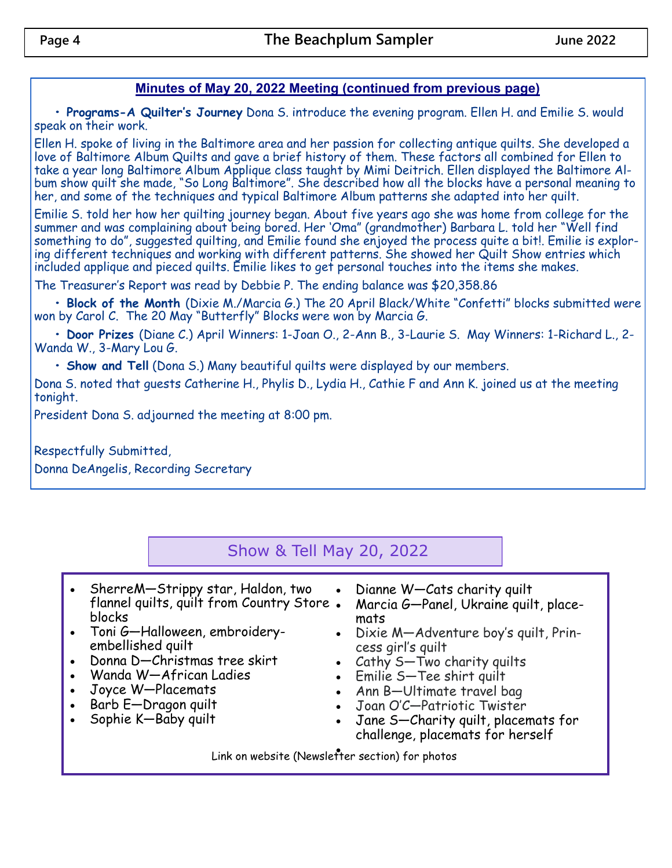### **Minutes of May 20, 2022 Meeting (continued from previous page)**

**• Programs-A Quilter's Journey** Dona S. introduce the evening program. Ellen H. and Emilie S. would speak on their work.

Ellen H. spoke of living in the Baltimore area and her passion for collecting antique quilts. She developed a love of Baltimore Album Quilts and gave a brief history of them. These factors all combined for Ellen to take a year long Baltimore Album Applique class taught by Mimi Deitrich. Ellen displayed the Baltimore Album show quilt she made, "So Long Baltimore". She described how all the blocks have a personal meaning to her, and some of the techniques and typical Baltimore Album patterns she adapted into her quilt.

Emilie S. told her how her quilting journey began. About five years ago she was home from college for the summer and was complaining about being bored. Her 'Oma" (grandmother) Barbara L. told her "Well find something to do", suggested quilting, and Emilie found she enjoyed the process quite a bit!. Emilie is exploring different techniques and working with different patterns. She showed her Quilt Show entries which included applique and pieced quilts. Emilie likes to get personal touches into the items she makes.

The Treasurer's Report was read by Debbie P. The ending balance was \$20,358.86

**• Block of the Month** (Dixie M./Marcia G.) The 20 April Black/White "Confetti" blocks submitted were won by Carol C. The 20 May "Butterfly" Blocks were won by Marcia G.

**• Door Prizes** (Diane C.) April Winners: 1-Joan O., 2-Ann B., 3-Laurie S. May Winners: 1-Richard L., 2- Wanda W., 3-Mary Lou G.

**• Show and Tell** (Dona S.) Many beautiful quilts were displayed by our members.

Dona S. noted that guests Catherine H., Phylis D., Lydia H., Cathie F and Ann K. joined us at the meeting tonight.

President Dona S. adjourned the meeting at 8:00 pm.

Respectfully Submitted, Donna DeAngelis, Recording Secretary

# Show & Tell May 20, 2022

- SherreM—Strippy star, Haldon, two flannel quilts, quilt from Country Store blocks
- Toni G—Halloween, embroideryembellished quilt
- Donna D—Christmas tree skirt
- Wanda W—African Ladies
- Joyce W—Placemats
- Barb E—Dragon quilt
- Sophie K—Baby quilt
- Dianne W—Cats charity quilt
- Marcia G—Panel, Ukraine quilt, placemats
- Dixie M—Adventure boy's quilt, Princess girl's quilt
- Cathy S—Two charity quilts
- Emilie S—Tee shirt quilt
- Ann B—Ultimate travel bag
- Joan O'C—Patriotic Twister
- Jane S—Charity quilt, placemats for challenge, placemats for herself

• Link on website (Newsletter section) for photos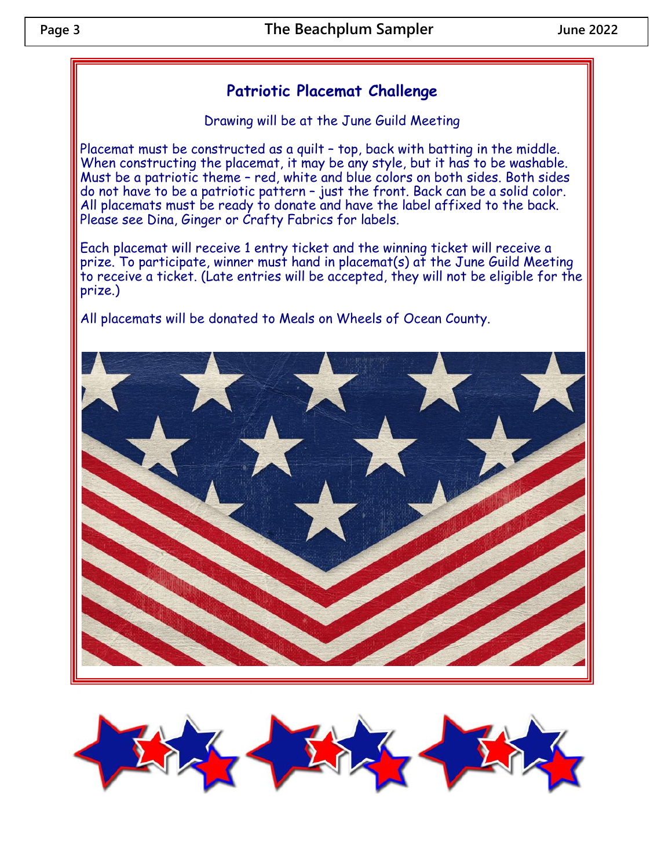## **Patriotic Placemat Challenge**

Drawing will be at the June Guild Meeting

Placemat must be constructed as a quilt – top, back with batting in the middle. When constructing the placemat, it may be any style, but it has to be washable. Must be a patriotic theme – red, white and blue colors on both sides. Both sides do not have to be a patriotic pattern – just the front. Back can be a solid color. All placemats must be ready to donate and have the label affixed to the back. Please see Dina, Ginger or Crafty Fabrics for labels.

Each placemat will receive 1 entry ticket and the winning ticket will receive a prize. To participate, winner must hand in placemat(s) at the June Guild Meeting to receive a ticket. (Late entries will be accepted, they will not be eligible for the prize.)

All placemats will be donated to Meals on Wheels of Ocean County.



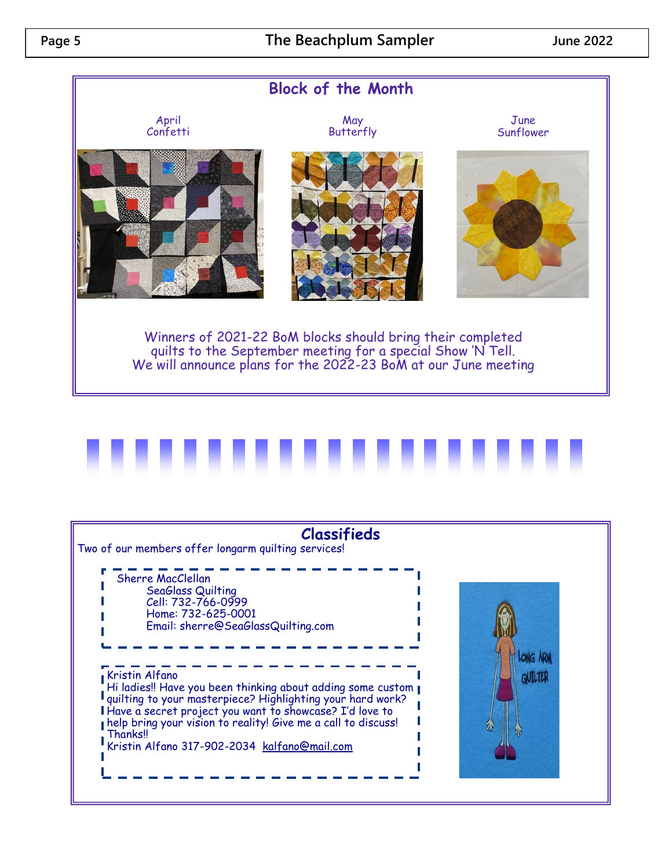